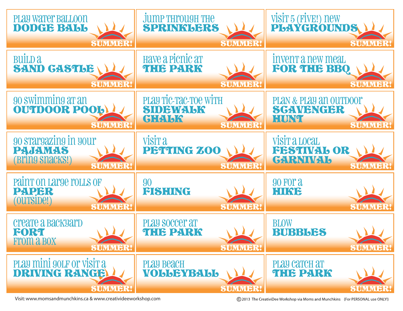

Visit: www.momsandmunchkins.ca & www.creativideeworkshop.com

(C) 2013 The CreativiDee Workshop via Moms and Munchkins {For PERSONAL use ONLY!}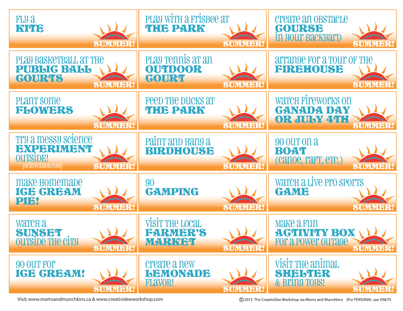

Visit: www.momsandmunchkins.ca & www.creativideeworkshop.com

(C) 2013 The CreativiDee Workshop via Moms and Munchkins {For PERSONAL use ONLY!}